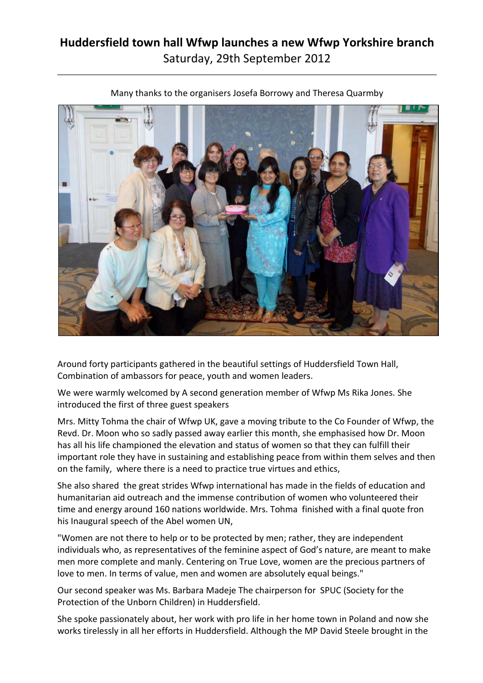## **Huddersfield town hall Wfwp launches a new Wfwp Yorkshire branch** Saturday, 29th September 2012



Many thanks to the organisers Josefa Borrowy and Theresa Quarmby

Around forty participants gathered in the beautiful settings of Huddersfield Town Hall, Combination of ambassors for peace, youth and women leaders.

We were warmly welcomed by A second generation member of Wfwp Ms Rika Jones. She introduced the first of three guest speakers

Mrs. Mitty Tohma the chair of Wfwp UK, gave a moving tribute to the Co Founder of Wfwp, the Revd. Dr. Moon who so sadly passed away earlier this month, she emphasised how Dr. Moon has all his life championed the elevation and status of women so that they can fulfill their important role they have in sustaining and establishing peace from within them selves and then on the family, where there is a need to practice true virtues and ethics,

She also shared the great strides Wfwp international has made in the fields of education and humanitarian aid outreach and the immense contribution of women who volunteered their time and energy around 160 nations worldwide. Mrs. Tohma finished with a final quote fron his Inaugural speech of the Abel women UN,

"Women are not there to help or to be protected by men; rather, they are independent individuals who, as representatives of the feminine aspect of God's nature, are meant to make men more complete and manly. Centering on True Love, women are the precious partners of love to men. In terms of value, men and women are absolutely equal beings."

Our second speaker was Ms. Barbara Madeje The chairperson for SPUC (Society for the Protection of the Unborn Children) in Huddersfield.

She spoke passionately about, her work with pro life in her home town in Poland and now she works tirelessly in all her efforts in Huddersfield. Although the MP David Steele brought in the